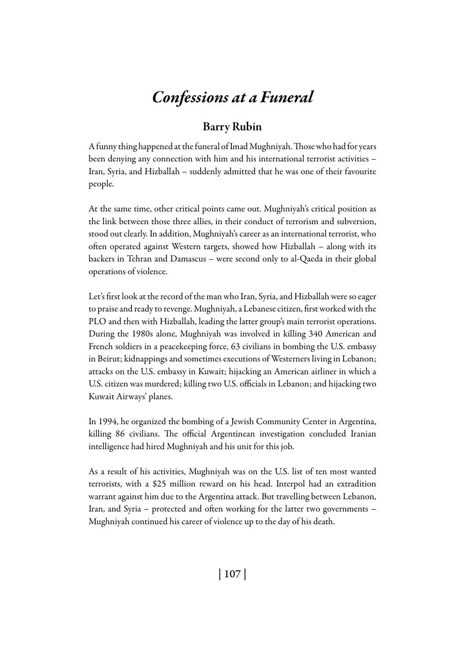## *Confessions at a Funeral*

## Barry Rubin

A funny thing happened at the funeral of Imad Mughniyah. Those who had for years been denying any connection with him and his international terrorist activities – Iran, Syria, and Hizballah – suddenly admitted that he was one of their favourite people.

At the same time, other critical points came out. Mughniyah's critical position as the link between those three allies, in their conduct of terrorism and subversion, stood out clearly. In addition, Mughniyah's career as an international terrorist, who often operated against Western targets, showed how Hizballah – along with its backers in Tehran and Damascus – were second only to al-Qaeda in their global operations of violence.

Let's first look at the record of the man who Iran, Syria, and Hizballah were so eager to praise and ready to revenge. Mughniyah, a Lebanese citizen, first worked with the PLO and then with Hizballah, leading the latter group's main terrorist operations. During the 1980s alone, Mughniyah was involved in killing 340 American and French soldiers in a peacekeeping force, 63 civilians in bombing the U.S. embassy in Beirut; kidnappings and sometimes executions of Westerners living in Lebanon; attacks on the U.S. embassy in Kuwait; hijacking an American airliner in which a U.S. citizen was murdered; killing two U.S. officials in Lebanon; and hijacking two Kuwait Airways' planes.

In 1994, he organized the bombing of a Jewish Community Center in Argentina, killing 86 civilians. The official Argentinean investigation concluded Iranian intelligence had hired Mughniyah and his unit for this job.

As a result of his activities, Mughniyah was on the U.S. list of ten most wanted terrorists, with a \$25 million reward on his head. Interpol had an extradition warrant against him due to the Argentina attack. But travelling between Lebanon, Iran, and Syria – protected and often working for the latter two governments – Mughniyah continued his career of violence up to the day of his death.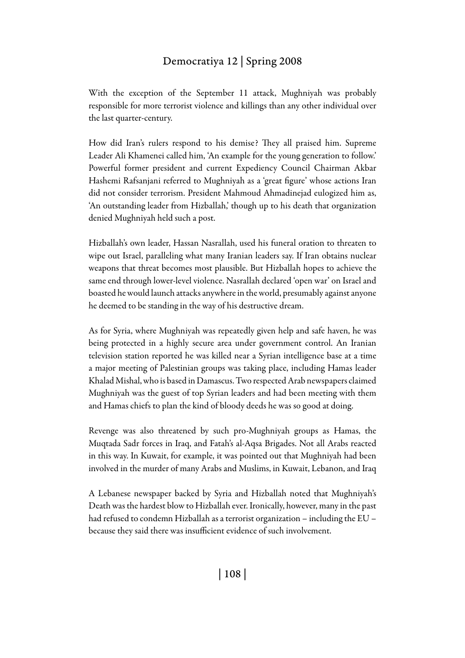## Democratiya 12 | Spring 2008

With the exception of the September 11 attack, Mughniyah was probably responsible for more terrorist violence and killings than any other individual over the last quarter-century.

How did Iran's rulers respond to his demise? They all praised him. Supreme Leader Ali Khamenei called him, 'An example for the young generation to follow.' Powerful former president and current Expediency Council Chairman Akbar Hashemi Rafsanjani referred to Mughniyah as a 'great figure' whose actions Iran did not consider terrorism. President Mahmoud Ahmadinejad eulogized him as, 'An outstanding leader from Hizballah,' though up to his death that organization denied Mughniyah held such a post.

Hizballah's own leader, Hassan Nasrallah, used his funeral oration to threaten to wipe out Israel, paralleling what many Iranian leaders say. If Iran obtains nuclear weapons that threat becomes most plausible. But Hizballah hopes to achieve the same end through lower-level violence. Nasrallah declared 'open war' on Israel and boasted he would launch attacks anywhere in the world, presumably against anyone he deemed to be standing in the way of his destructive dream.

As for Syria, where Mughniyah was repeatedly given help and safe haven, he was being protected in a highly secure area under government control. An Iranian television station reported he was killed near a Syrian intelligence base at a time a major meeting of Palestinian groups was taking place, including Hamas leader Khalad Mishal, who is based in Damascus. Two respected Arab newspapers claimed Mughniyah was the guest of top Syrian leaders and had been meeting with them and Hamas chiefs to plan the kind of bloody deeds he was so good at doing.

Revenge was also threatened by such pro-Mughniyah groups as Hamas, the Muqtada Sadr forces in Iraq, and Fatah's al-Aqsa Brigades. Not all Arabs reacted in this way. In Kuwait, for example, it was pointed out that Mughniyah had been involved in the murder of many Arabs and Muslims, in Kuwait, Lebanon, and Iraq

A Lebanese newspaper backed by Syria and Hizballah noted that Mughniyah's Death was the hardest blow to Hizballah ever. Ironically, however, many in the past had refused to condemn Hizballah as a terrorist organization – including the EU – because they said there was insufficient evidence of such involvement.